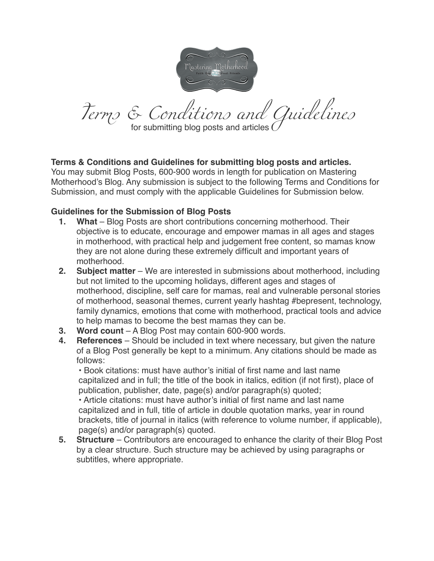

*Terms & Conditions and Guidelines*  for submitting blog posts and articles (

## **Terms & Conditions and Guidelines for submitting blog posts and articles.**

You may submit Blog Posts, 600-900 words in length for publication on Mastering Motherhood's Blog. Any submission is subject to the following Terms and Conditions for Submission, and must comply with the applicable Guidelines for Submission below.

## **Guidelines for the Submission of Blog Posts**

- **1. What** Blog Posts are short contributions concerning motherhood. Their objective is to educate, encourage and empower mamas in all ages and stages in motherhood, with practical help and judgement free content, so mamas know they are not alone during these extremely difficult and important years of motherhood.
- **2. Subject matter** We are interested in submissions about motherhood, including but not limited to the upcoming holidays, different ages and stages of motherhood, discipline, self care for mamas, real and vulnerable personal stories of motherhood, seasonal themes, current yearly hashtag #bepresent, technology, family dynamics, emotions that come with motherhood, practical tools and advice to help mamas to become the best mamas they can be.
- **3. Word count** A Blog Post may contain 600-900 words.
- **4. References** Should be included in text where necessary, but given the nature of a Blog Post generally be kept to a minimum. Any citations should be made as follows:

• Book citations: must have author's initial of first name and last name capitalized and in full; the title of the book in italics, edition (if not first), place of publication, publisher, date, page(s) and/or paragraph(s) quoted;

• Article citations: must have author's initial of first name and last name capitalized and in full, title of article in double quotation marks, year in round brackets, title of journal in italics (with reference to volume number, if applicable), page(s) and/or paragraph(s) quoted.

**5. Structure** – Contributors are encouraged to enhance the clarity of their Blog Post by a clear structure. Such structure may be achieved by using paragraphs or subtitles, where appropriate.